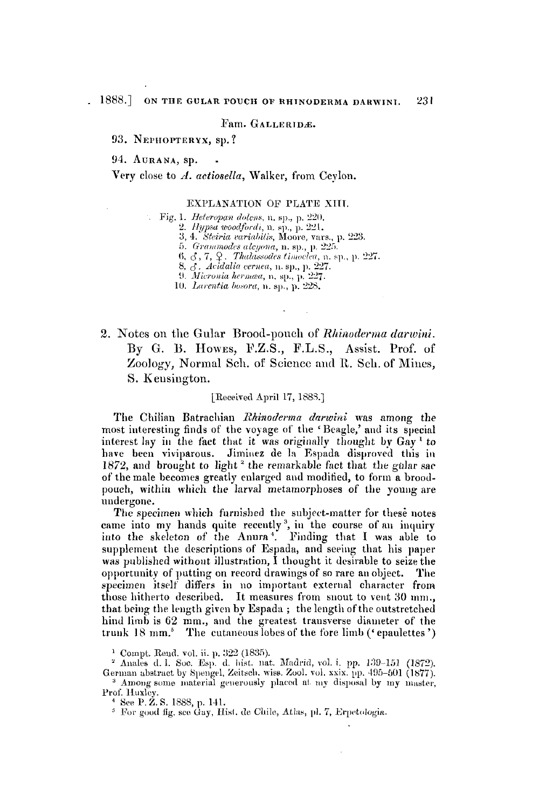### $Fam. GALLERIDE.$

93. NEPHOPTERYX, sp.?

94. **AURANA**, sp.

Very close to *d. nctiosella,* Walker, **from** Ceylon.

# EXPLANATION OF PLATE XIII.

Fig. 1. Heteropan dolens, n. sp., p. 220.

2. Hypsa woodfordi, n. sp., p. 221.

3, 4. Steiria variabilis, Moore, vars., p. 223.

5. Grammodes alcyona, n. sp., p. 225.<br>6.  $\zeta$ , 7,  $\zeta$ . Thalassodes timoclea, n. sp., p. 227.

8. 3. Acidalia cernea, n. sp., p. 227.<br>9. Micronia hermaa, n. sp., p. 227.

10. Larentia bosora, n. sp., p. 228.

2. Notes on the Gular Brood-pouch of *Rhinoderma darwini*. By **G.** B. **HOWES,** Y.Z.S., F.L.S., **Assist.** Prof. of Zoology, Normal Sch. of Science and R. Sch. of Mines, **S.** Keusington.

#### [Received April 17, 18SS.I

The Chilian Batrachian *Rhinoderma darwini* was among the most interesting finds of the voyage of the 'Beagle,' and its special interest lay in the fact that it was originally thought by Gay<sup>1</sup> to have been viviparous. Jiminez de la Espada disproved this in 1872, and brought to light<sup>2</sup> the remarkable fact that the gular sac **of** the male becomes greatly enlarged aid modified, to **foriu** a broodpouch, within which the larval metamorphoses of the young are undergone.

The specimen which furnished the subject-matter for these notes came into my hands quite recently<sup>3</sup>, in the course of an inquiry into the skeleton of the Anura<sup>4</sup>. Finding that I was able to supplement the descriptions of Espada, and seeing that his paper was published without illustration, I thought it desirable to seize the opportunity **of** putting on record drawings **of** *so* rare ail object. The specimen itself' differs in **110** important external character from those hitherto described. It measures from snout to vent 30 mm., that being the length given by Espada; the length of the outstretched hind limb is 62 mm., and the greatest transverse diameter of the trunk 18 mm.<sup>5</sup> The cutaneous lobes of the fore limb ('epaulettes')

<sup>1</sup> Compt. Rend. vol. ii. p. 322 (1835).

<sup>2</sup> Anales d. l. Soc. Esp. d. hist. nat. Madrid, vol. i. pp. 139-151 (1872). German abstract by Spengel, Zeitsch. wiss. Zool. vol. xxix. pp. 495-501 (1877). <sup>3</sup> Among some material generously placed at my disposal by my master, Prof. Huxley.

<sup>4</sup> See P. Z. S. 1888, p. 141.

<sup>5</sup> For good fig. see Gay, Hist. de Chile, Atlas, pl. 7, Erpetologia.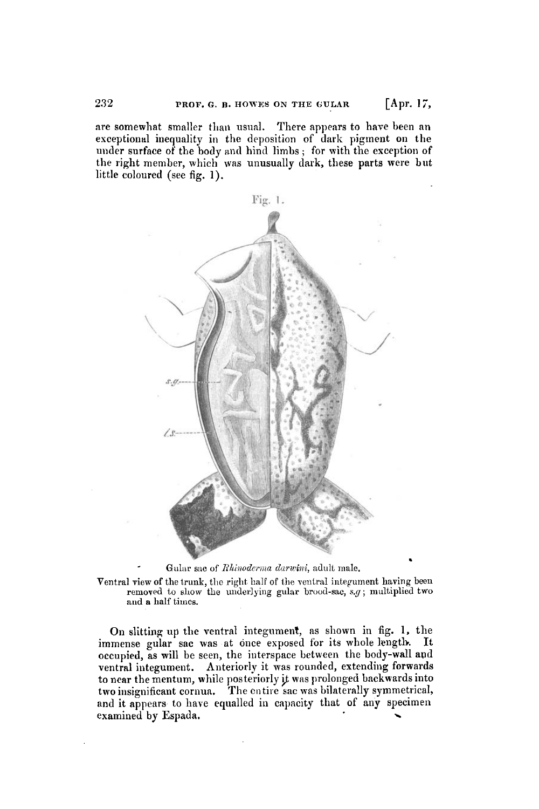are somewhat smaller than usual. There appears to have been an exceptional inequality in the deposition of dark pigment on the under surface of the body and hind limbs; for with the exception of the right member, which was unusually dark, these parts were but little coloured (see fig. **1).** 



Gular sac of *Rhinoderma darwini*, adult male.

Ventral view of the trunk, the right half of the ventral integument having been removed to show the underlying gular brood-sac, s.g; multiplied two and **a** half **timcs.** 

On slitting up the ventral integument, **as** shown in fig. 1, the immense gular sac was at once exposed for its whole length. It occupied, as will be seen, the interspace between the body-wall apd ventral integument. Anteriorly it was rounded, extending forwards to near the mentum, while posteriorly it was prolonged backwards into two insignificant cornun. The on tire **sac** was bilaterally symmetrical, and it appears to have equalled in capacity that of any specimen examined by Espada.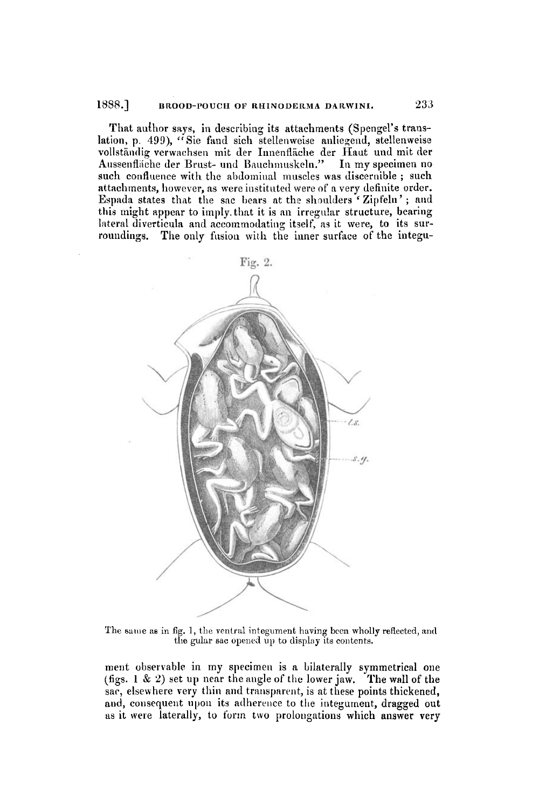#### 1888.] BROOD-POUCH OF RHINODERMA DARWINI.

That author says, in describing its attachments (Spengel's translation, p. 499), "Sie fand sich stellenweise anliegend, stellenweise vollständig verwachsen mit der Innenfläche der Haut und mit der Aussenfläche der Brust- und Bauchmuskeln." In my specimen no such confluence with the abdominal muscles was discernible; such attachments, however, as were instituted were of a very definite order. Espada states that the sac bears at the shoulders 'Zipfeln'; and this might appear to imply that it is an irregular structure, bearing lateral diverticula and accommodating itself, as it were, to its surroundings. The only fusion with the inner surface of the integu-



The same as in fig. 1, the ventral integument having been wholly reflected, and the gular sac opened up to display its contents.

ment observable in my specimen is a bilaterally symmetrical one (figs. 1 & 2) set up near the angle of the lower jaw. The wall of the sac, elsewhere very thin and transparent, is at these points thickened, and, consequent upon its adherence to the integument, dragged out as it were laterally, to form two prolongations which answer very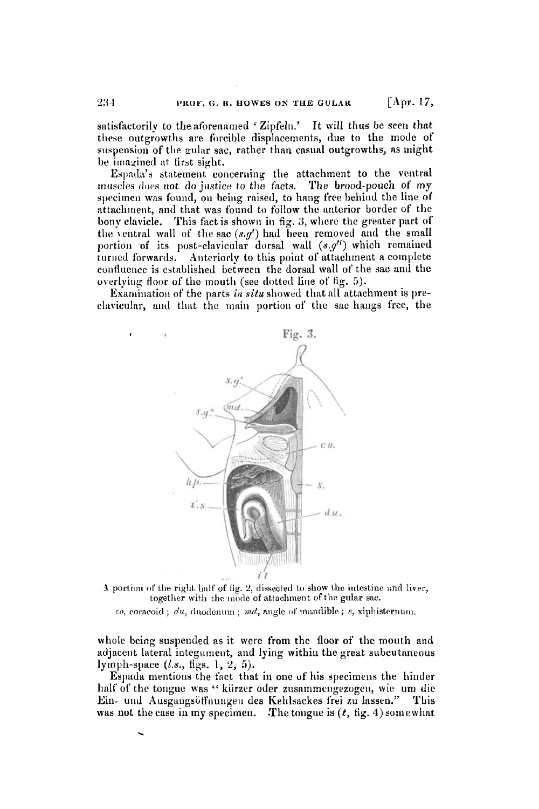satisfactorily to the aforenamed 'Zipfeln.' It will thus be seen that these outgrowths are forcible displacements, due to the mode of suspension of the gular sac, rather than casual outgrowths, as might be imagined at first sight.

Espada's statement concerning the attachment to the ventral muscles does not do justice to the facts. The brood-pouch of my specimen was found, on being raised, to hang free behind the line of attachment, and that was found to follow the anterior border of the bony clavicle. This fact is shown in fig. 3, where the greater part of the ventral wall of the sac  $(s,q')$  had been removed and the small portion of its post-clavicular dorsal wall  $(s, g'')$  which remained turned forwards. Anteriorly to this point of attachment a complete confluence is established between the dorsal wall of the sac and the overlying floor of the mouth (see dotted line of fig. 5).

Examination of the parts in situ showed that all attachment is preclavicular, and that the main portion of the sac hangs free, the



A portion of the right half of fig. 2, dissected to show the intestine and liver, together with the mode of attachment of the gular sac.

 $co,$  coracoid;  $du$ , duodenum;  $md$ , angle of mandible;  $s$ , xiphisternum.

whole being suspended as it were from the floor of the mouth and adjacent lateral integument, and lying within the great subcutaneous lymph-space  $(l.s., figs. 1, 2, 5).$ 

Espada mentions the fact that in one of his specimens the hinder half of the tongue was "kürzer oder zusammengezogen, wie um die Ein- und Ausgangsöffnungen des Kehlsackes frei zu lassen." This was not the case in my specimen. The tongue is  $(t, \text{ fig. } 4)$  somewhat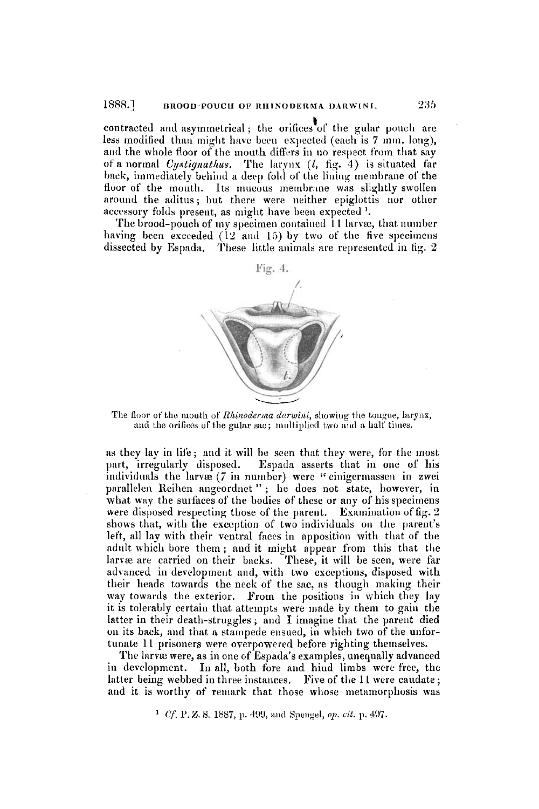contracted and asymmetrical; the orifices of the gular pouch are less modified than might have been expected (each is 7 mm. long), and the whole floor of the mouth differs in no respect from that say of a normal Cystignathus. The larynx  $(l, fig. 4)$  is situated far back, immediately behind a deep fold of the lining membrane of the floor of the mouth. Its mucous membrane was slightly swollen around the aditus; but there were neither epiglottis nor other accessory folds present, as might have been expected <sup>1</sup>.

The brood-pouch of my specimen contained 11 larvæ, that number having been exceeded (12 and 15) by two of the five specimens dissected by Espada. These little animals are represented in fig. 2



The floor of the mouth of *Rhinoderma darwini*, showing the tongue, larynx, and the orifices of the gular sac; multiplied two and a half times.

as they lay in life; and it will be seen that they were, for the most part, irregularly disposed. Espada asserts that in one of his individuals the larvæ (7 in number) were "einigermassen in zwei parallelen Reihen angeordnet"; he does not state, however, in what way the surfaces of the bodies of these or any of his specimens were disposed respecting those of the parent. Examination of fig. 2 shows that, with the exception of two individuals on the parent's left, all lay with their ventral faces in apposition with that of the adult which bore them; and it might appear from this that the larvæ are carried on their backs. These, it will be seen, were far advanced in development and, with two exceptions, disposed with their heads towards the neck of the sac, as though making their way towards the exterior. From the positions in which they lay it is tolerably certain that attempts were made by them to gain the latter in their death-struggles; and I imagine that the parent died on its back, and that a stampede ensued, in which two of the unfortunate 11 prisoners were overpowered before righting themselves.

The larvæ were, as in one of Espada's examples, unequally advanced in development. In all, both fore and hind limbs were free, the latter being webbed in three instances. Five of the 11 were caudate; and it is worthy of remark that those whose metamorphosis was

<sup>1</sup> Cf. P. Z. S. 1887, p. 499, and Spengel, op. cit. p. 497.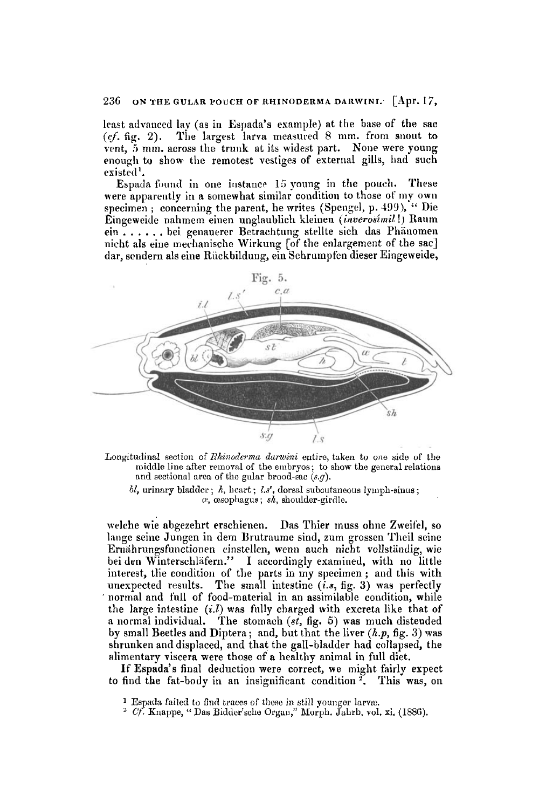# 236 ON THE GULAR POUCH OF RHINODERMA DARWINI. [Apr. 17,

least advanced lay (as in Espada's example) at the base of the sac *(cj.* **fig. 2).** The largest larva measured 8 nim. from snout to vent, 5 mm. across the trunk at its widest part. None were young enough to show the remotest vestiges of external gills, had such existed'.

Espada found in one instance 15 young in the pouch. These Were apparently **in** a somewhat similar condition to those of my own specimen ; concerning the parent, he writes (Spengel, p. 499), " Die Eingeweide nnhmem einen unglaublich kleinen *(inverosimil* !) Raum ein . . . . . . bei genauerer Betrachtung stellte sich das Phinomen nicht als eine rneclinnische Wirkung *[of* the enlargement of the sac] dar, sendern als eine Rückbildung, ein Schrumpfen dieser Eingeweide,



Longitudinal section of *Rhinoderma darwini* entire, taken to one side of the middle line after removal of the embryos; to show the general relations and sectional area of the gular brood-sac *(s.g)*.

 $bl$ , urinary bladder;  $h$ , heart;  $ls'$ , dorsal subcutaneous lymph-sinus; *1y,* cesopllsgus ; *sh,* shoulder-girdle.

wlrhe wie abgezehrt erschienen. **Das** Thier muss ohne Zweifel, **so**  lange seine Jungen in dem Brutraume sind, zum grossen Theil seine Ernährungsfunctionen einstellen, wenn auch nicht vollständig, wie bei den Winterschläfern." I accordingly examined, with no little interest, the condition of the parts in my specimen; and this with unexpected results. The small intestine  $(i.s, fig. 3)$  was perfectly normal and full of food-material in an assimilable condition, while the large intestine  $(i,l)$  was fully charged with excreta like that of a normal individual. **The** stomach *(st,* fig. *5)* was much distended by small Beetles and Diptera; and, but that the **liver** *(h.p,* fig. **3) was**  shrunken and displaced, and that the gall-bladder had collapsed, the alimentary viscera were those of a healthy animal in full diet.

If Espada's final deduction were correct, **we** might fairly expect to find the fat-body in an insignificant condition '. This was, on

<sup>&</sup>lt;sup>1</sup> Espada failed to find traces of these in still youngor larvæ.

<sup>&</sup>lt;sup>2</sup> *Cf.* Knappe, " Das Bidder'sche Organ," Morph. Jahrb. vol. **x**i. (1886).